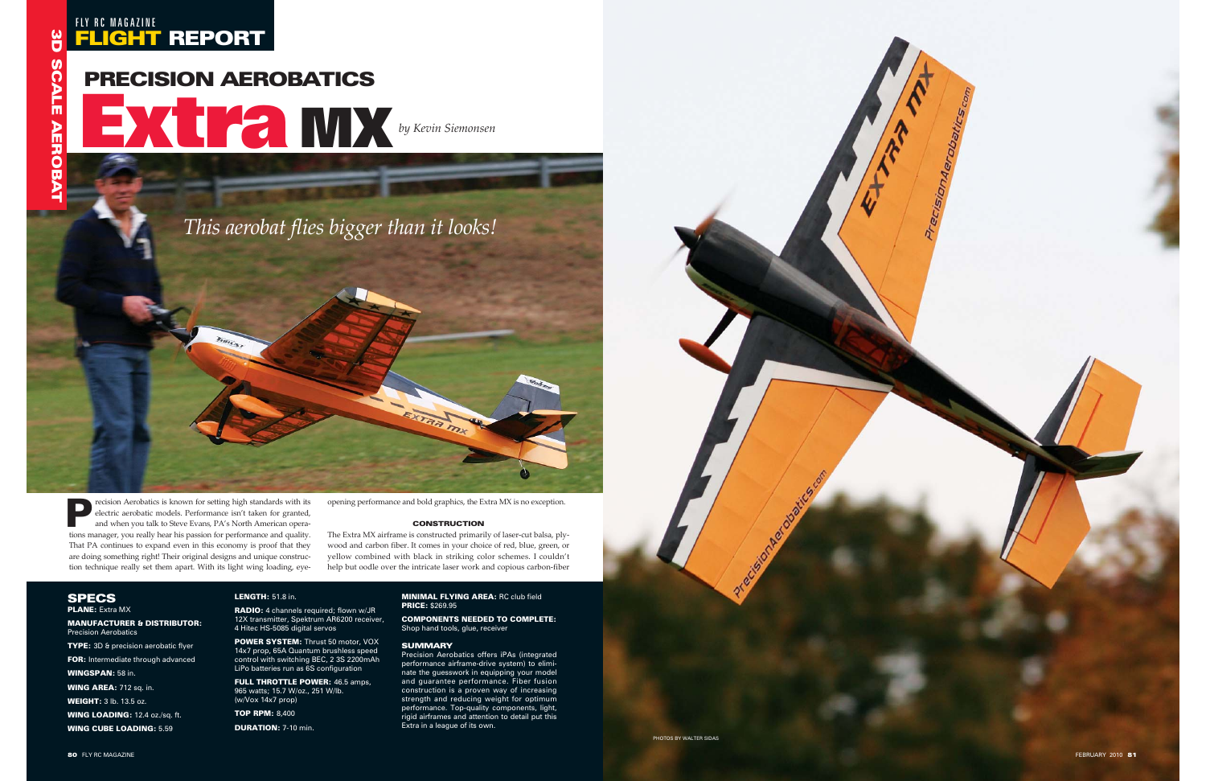## FLIGHT REPORT FLY RC MAGAZINE

# PRECISION AEROBATICS

**Extra**<br>Extra MX*by Kevin Siemonsen* 

*This aerobat flies bigger than it looks!*

PLANE: Extra MX

MANUFACTURER & DISTRIBUTOR: Precision Aerobatics

**TYPE:** 3D & precision aerobatic flyer FOR: Intermediate through advanced

WINGSPAN: 58 in.

WING AREA: 712 sq. in.

POWER SYSTEM: Thrust 50 motor, VOX 14x7 prop, 65A Quantum brushless speed control with switching BEC, 2 3S 2200mAh LiPo batteries run as 6S configuration

WEIGHT: 3 lb. 13.5 oz.

WING LOADING: 12.4 oz./sq. ft.

**FULL THROTTLE POWER:** 46.5 amps, 965 watts; 15.7 W/oz., 251 W/lb. (w/Vox 14x7 prop)

WING CUBE LOADING: 5.59

#### LENGTH: 51.8 in.

RADIO: 4 channels required; flown w/JR 12X transmitter, Spektrum AR6200 receiver, 4 Hitec HS-5085 digital servos

recision Aerobatics is known for setting high standards with its electric aerobatic models. Performance isn't taken for granted, and when you talk to Steve Evans, PA's North American operations manager, you really hear his passion for performance and quality. That PA continues to expand even in this economy is proof that they are doing something right! Their original designs and unique construction technique really set them apart. With its light wing loading, eye-Fraction Aerobatics is known for setting high standards with its<br>
electric aerobatic models. Performance isn't taken for granted,<br>
and when you talk to Steve Evans, PA's North American opera-<br>
tions manager, you really hea

TOP RPM: 8,400

DURATION: 7-10 min.

#### MINIMAL FLYING AREA: RC club field PRICE: \$269.95

COMPONENTS NEEDED TO COMPLETE: Shop hand tools, glue, receiver

#### **SUMMARY**

Precision Aerobatics offers iPAs (integrated performance airframe-drive system) to eliminate the guesswork in equipping your model and guarantee performance. Fiber fusion construction is a proven way of increasing strength and reducing weight for optimum performance. Top-quality components, light, rigid airframes and attention to detail put this Extra in a league of its own.

opening performance and bold graphics, the Extra MX is no exception.

#### **CONSTRUCTION**

The Extra MX airframe is constructed primarily of laser-cut balsa, ply wood and carbon fiber. It comes in your choice of red, blue, green, or yellow combined with black in striking color schemes. I couldn't

### **SPECS**

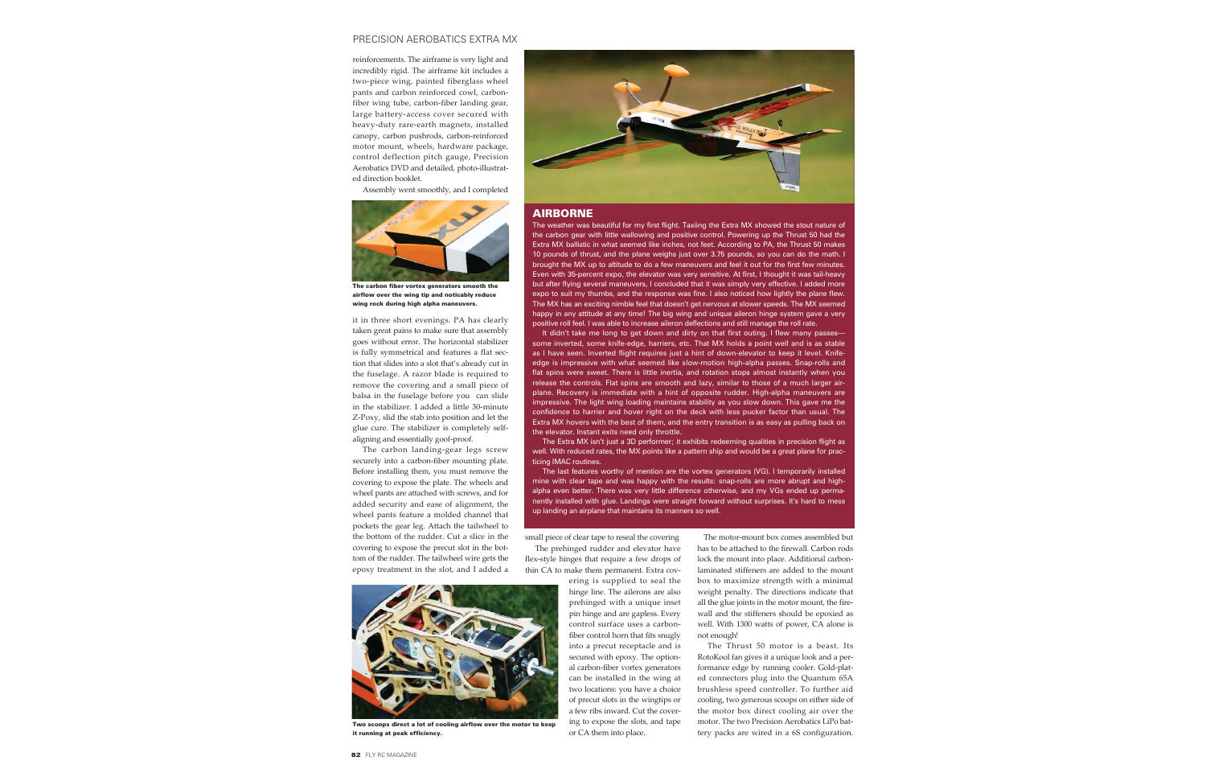#### PRECISION AEROBATICS EXTRA MX

reinforcements. The airframe is very light and incredibly rigid. The airframe kit includes a two-piece wing, painted fiberglass wheel pants and carbon reinforced cowl, carbonfiber wing tube, carbon-fiber landing gear, large battery-access cover secured with heavy-duty rare-earth magnets, installed canopy, carbon pushrods, carbon-reinforced motor mount, wheels, hardware package, control deflection pitch gauge, Precision Aerobatics DVD and detailed, photo-illustrated direction booklet.

Assembly went smoothly, and I completed

it in three short evenings. PA has clearly taken great pains to make sure that assembly goes without error. The horizontal stabilizer is fully symmetrical and features a flat section that slides into a slot that's already cut in the fuselage. A razor blade is required to remove the covering and a small piece of balsa in the fuselage before you can slide in the stabilizer. I added a little 30-minute Z-Poxy, slid the stab into position and let the glue cure. The stabilizer is completely selfaligning and essentially goof-proof.

The carbon landing-gear legs screw securely into a carbon-fiber mounting plate. Before installing them, you must remove the covering to expose the plate. The wheels and wheel pants are attached with screws, and for added security and ease of alignment, the wheel pants feature a molded channel that pockets the gear leg. Attach the tailwheel to the bottom of the rudder. Cut a slice in the covering to expose the precut slot in the bottom of the rudder. The tailwheel wire gets the epoxy treatment in the slot, and I added a

small piece of clear tape to reseal the covering The prehinged rudder and elevator have flex-style hinges that require a few drops of thin CA to make them permanent. Extra cov-

> ering is supplied to seal the hinge line. The ailerons are also prehinged with a unique inset pin hinge and are gapless. Every control surface uses a carbonfiber control horn that fits snugly into a precut receptacle and is secured with epoxy. The optional carbon-fiber vortex generators can be installed in the wing at two locations: you have a choice of precut slots in the wingtips or a few ribs inward. Cut the covering to expose the slots, and tape or CA them into place.

The motor-mount box comes assembled but has to be attached to the firewall. Carbon rods lock the mount into place. Additional carbonlaminated stiffeners are added to the mount box to maximize strength with a minimal weight penalty. The directions indicate that all the glue joints in the motor mount, the firewall and the stiffeners should be epoxied as well. With 1300 watts of power, CA alone is not enough!

It didn't take me long to get down and dirty on that first outing. I flew many passessome inverted, some knife-edge, harriers, etc. That MX holds a point well and is as stable as I have seen. Inverted flight requires just a hint of down-elevator to keep it level. Knifeedge is impressive with what seemed like slow-motion high-alpha passes. Snap-rolls and flat spins were sweet. There is little inertia, and rotation stops almost instantly when you release the controls. Flat spins are smooth and lazy, similar to those of a much larger airplane. Recovery is immediate with a hint of opposite rudder. High-alpha maneuvers are impressive. The light wing loading maintains stability as you slow down. This gave me the confidence to harrier and hover right on the deck with less pucker factor than usual. The Extra MX hovers with the best of them, and the entry transition is as easy as pulling back on the elevator. Instant exits need only throttle.

> The Thrust 50 motor is a beast. Its RotoKool fan gives it a unique look and a performance edge by running cooler. Gold-plated connectors plug into the Quantum 65A brushless speed controller. To further aid cooling, two generous scoops on either side of the motor box direct cooling air over the motor. The two Precision Aerobatics LiPo battery packs are wired in a 6S configuration.

#### AIRBORNE

The weather was beautiful for my first flight. Taxiing the Extra MX showed the stout nature of the carbon gear with little wallowing and positive control. Powering up the Thrust 50 had the Extra MX ballistic in what seemed like inches, not feet. According to PA, the Thrust 50 makes 10 pounds of thrust, and the plane weighs just over 3.75 pounds, so you can do the math. I brought the MX up to altitude to do a few maneuvers and feel it out for the first few minutes. Even with 35-percent expo, the elevator was very sensitive. At first, I thought it was tail-heavy but after flying several maneuvers, I concluded that it was simply very effective. I added more expo to suit my thumbs, and the response was fine. I also noticed how lightly the plane flew. The MX has an exciting nimble feel that doesn't get nervous at slower speeds. The MX seemed happy in any attitude at any time! The big wing and unique aileron hinge system gave a very positive roll feel. I was able to increase aileron deflections and still manage the roll rate.

The Extra MX isn't just a 3D performer; it exhibits redeeming qualities in precision flight as well. With reduced rates, the MX points like a pattern ship and would be a great plane for practicing IMAC routines.

The last features worthy of mention are the vortex generators (VG). I temporarily installed mine with clear tape and was happy with the results: snap-rolls are more abrupt and highalpha even better. There was very little difference otherwise, and my VGs ended up permanently installed with glue. Landings were straight forward without surprises. It's hard to mess up landing an airplane that maintains its manners so well.



The carbon fiber vortex generators smooth the airflow over the wing tip and noticably reduce wing rock during high alpha maneuvers.



Two scoops direct a lot of cooling airflow over the motor to keep it running at peak efficiency.